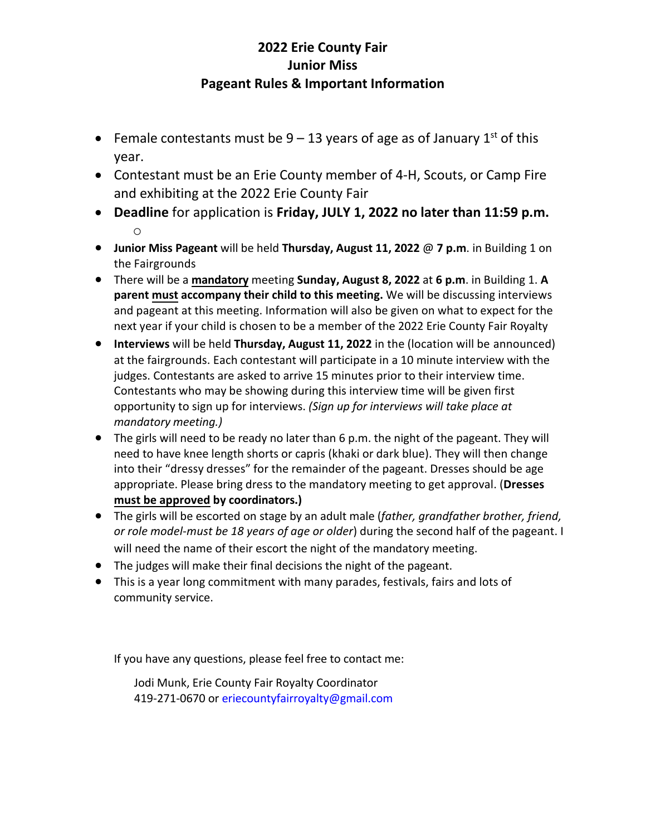## **2022 Erie County Fair Junior Miss Pageant Rules & Important Information**

- Female contestants must be  $9 13$  years of age as of January  $1<sup>st</sup>$  of this year.
- Contestant must be an Erie County member of 4-H, Scouts, or Camp Fire and exhibiting at the 2022 Erie County Fair
- **Deadline** for application is **Friday, JULY 1, 2022 no later than 11:59 p.m.** o
- **Junior Miss Pageant** will be held **Thursday, August 11, 2022** @ **7 p.m**. in Building 1 on the Fairgrounds
- There will be a **mandatory** meeting **Sunday, August 8, 2022** at **6 p.m**. in Building 1. **A parent must accompany their child to this meeting.** We will be discussing interviews and pageant at this meeting. Information will also be given on what to expect for the next year if your child is chosen to be a member of the 2022 Erie County Fair Royalty
- **Interviews** will be held **Thursday, August 11, 2022** in the (location will be announced) at the fairgrounds. Each contestant will participate in a 10 minute interview with the judges. Contestants are asked to arrive 15 minutes prior to their interview time. Contestants who may be showing during this interview time will be given first opportunity to sign up for interviews. *(Sign up for interviews will take place at mandatory meeting.)*
- $\bullet$  The girls will need to be ready no later than 6 p.m. the night of the pageant. They will need to have knee length shorts or capris (khaki or dark blue). They will then change into their "dressy dresses" for the remainder of the pageant. Dresses should be age appropriate. Please bring dress to the mandatory meeting to get approval. (**Dresses must be approved by coordinators.)**
- The girls will be escorted on stage by an adult male (*father, grandfather brother, friend, or role model-must be 18 years of age or older*) during the second half of the pageant. I will need the name of their escort the night of the mandatory meeting.
- The judges will make their final decisions the night of the pageant.
- This is a year long commitment with many parades, festivals, fairs and lots of community service.

If you have any questions, please feel free to contact me:

Jodi Munk, Erie County Fair Royalty Coordinator 419-271-0670 or eriecountyfairroyalty@gmail.com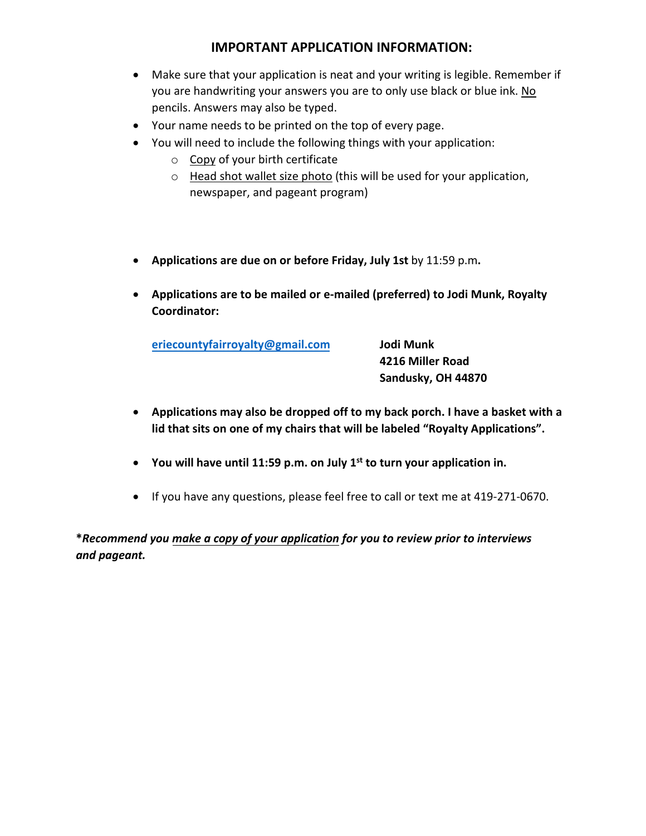## **IMPORTANT APPLICATION INFORMATION:**

- Make sure that your application is neat and your writing is legible. Remember if you are handwriting your answers you are to only use black or blue ink. No pencils. Answers may also be typed.
- Your name needs to be printed on the top of every page.
- You will need to include the following things with your application:
	- o Copy of your birth certificate
	- o Head shot wallet size photo (this will be used for your application, newspaper, and pageant program)
- Applications are due on or before Friday, July 1st by 11:59 p.m.
- **Applications are to be mailed or e-mailed (preferred) to Jodi Munk, Royalty Coordinator:**

**eriecountyfairroyaůty@gmail.com Jodi Munk**

**4216 Miller Road Sandusky, OH 44870**

- **Applications may also be dropped off to my back porch. I have a basket with a lid that sits on one of my chairs that will be labeled "Royalty Applications".**
- **You will have until 11:59 p.m. on July 1st to turn your application in.**
- If you have any questions, please feel free to call or text me at 419-271-0670.

**Ύ***Recommend you make a copy of your application for you to review prior to interviews and pageant.*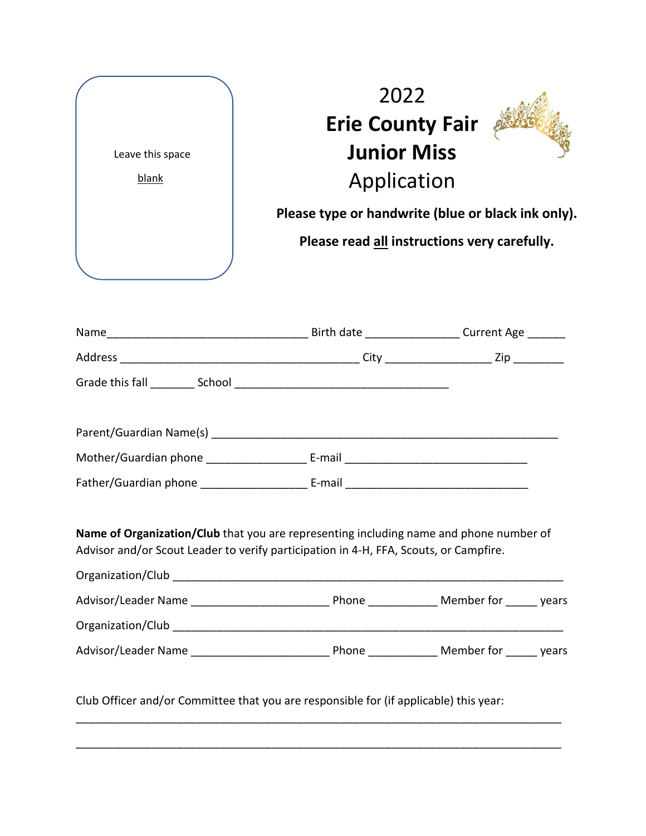



| Name                      | Birth date | Current Age ______ |
|---------------------------|------------|--------------------|
| Address                   | City       | Zip                |
| Grade this fall<br>School |            |                    |

| Parent/Guardian Name(s) |        |
|-------------------------|--------|
| Mother/Guardian phone   | E-mail |
| Father/Guardian phone   | E-mail |

**Name of Organization/Club** that you are representing including name and phone number of Advisor and/or Scout Leader to verify participation in 4-H, FFA, Scouts, or Campfire.

| Organization/Club   |       |            |       |
|---------------------|-------|------------|-------|
| Advisor/Leader Name | Phone | Member for | vears |
| Organization/Club   |       |            |       |
| Advisor/Leader Name | Phone | Member for | vears |

\_\_\_\_\_\_\_\_\_\_\_\_\_\_\_\_\_\_\_\_\_\_\_\_\_\_\_\_\_\_\_\_\_\_\_\_\_\_\_\_\_\_\_\_\_\_\_\_\_\_\_\_\_\_\_\_\_\_\_\_\_\_\_\_\_\_\_\_\_\_\_\_\_\_\_\_\_

\_\_\_\_\_\_\_\_\_\_\_\_\_\_\_\_\_\_\_\_\_\_\_\_\_\_\_\_\_\_\_\_\_\_\_\_\_\_\_\_\_\_\_\_\_\_\_\_\_\_\_\_\_\_\_\_\_\_\_\_\_\_\_\_\_\_\_\_\_\_\_\_\_\_\_\_\_

Club Officer and/or Committee that you are responsible for (if applicable) this year: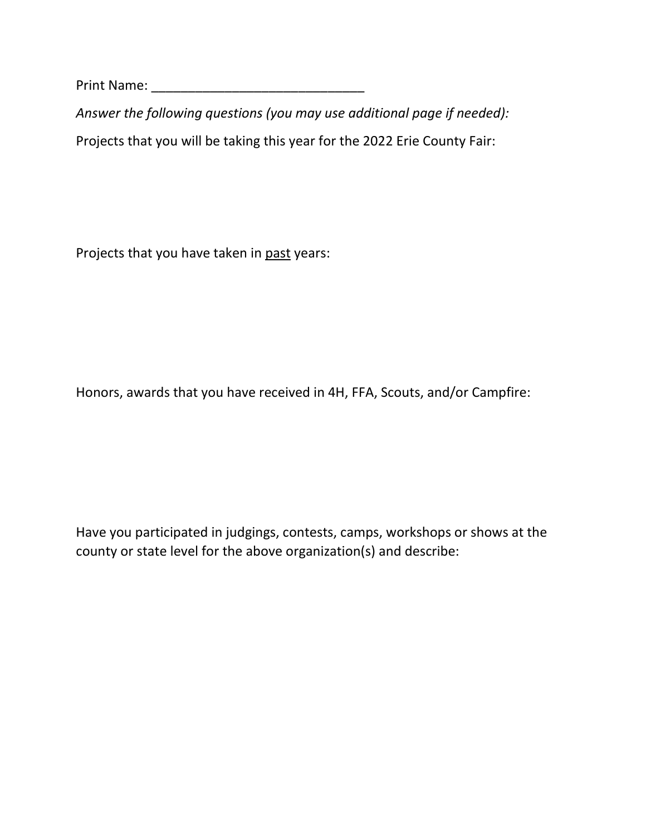Print Name: \_\_\_\_\_\_\_\_\_\_\_\_\_\_\_\_\_\_\_\_\_\_\_\_\_\_\_\_\_

*Answer the following questions (you may use additional page if needed):*  Projects that you will be taking this year for the 2022 Erie County Fair:

Projects that you have taken in past years:

Honors, awards that you have received in 4H, FFA, Scouts, and/or Campfire:

Have you participated in judgings, contests, camps, workshops or shows at the county or state level for the above organization(s) and describe: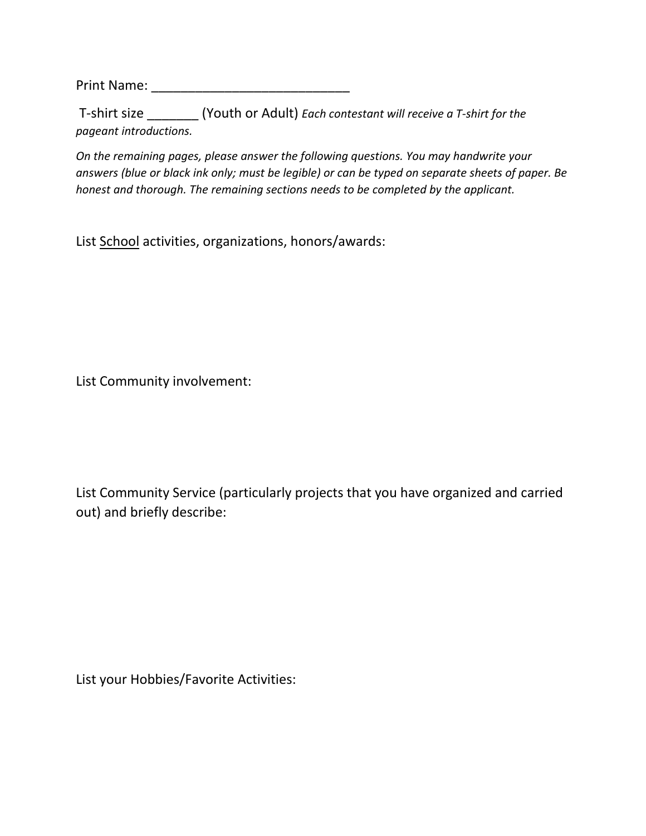Print Name: \_\_\_\_\_\_\_\_\_\_\_\_\_\_\_\_\_\_\_\_\_\_\_\_\_\_\_

T-shirt size \_\_\_\_\_\_\_ (Youth or Adult) *Each contestant will receive a T-shirt for the pageant introductions.*

*On the remaining pages, please answer the following questions. You may handwrite your answers (blue or black ink only; must be legible) or can be typed on separate sheets of paper. Be honest and thorough. The remaining sections needs to be completed by the applicant.*

List School activities, organizations, honors/awards:

List Community involvement:

List Community Service (particularly projects that you have organized and carried out) and briefly describe:

List your Hobbies/Favorite Activities: